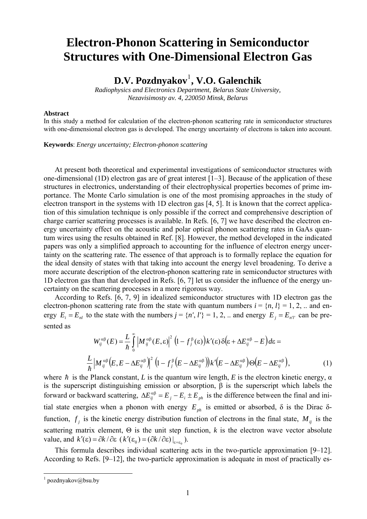## **Electron-Phonon Scattering in Semiconductor Structures with One-Dimensional Electron Gas**

## **D.V. Pozdnyakov**[1](#page-0-0) **, V.O. Galenchik**

*Radiophysics and Electronics Department, Belarus State University, Nezavisimosty av. 4, 220050 Minsk, Belarus* 

## **Abstract**

In this study a method for calculation of the electron-phonon scattering rate in semiconductor structures with one-dimensional electron gas is developed. The energy uncertainty of electrons is taken into account.

**Keywords**: *Energy uncertainty; Electron-phonon scattering*

At present both theoretical and experimental investigations of semiconductor structures with one-dimensional (1D) electron gas are of great interest [1–3]. Because of the application of these structures in electronics, understanding of their electrophysical properties becomes of prime importance. The Monte Carlo simulation is one of the most promising approaches in the study of electron transport in the systems with 1D electron gas [4, 5]. It is known that the correct application of this simulation technique is only possible if the correct and comprehensive description of charge carrier scattering processes is available. In Refs. [6, 7] we have described the electron energy uncertainty effect on the acoustic and polar optical phonon scattering rates in GaAs quantum wires using the results obtained in Ref. [8]. However, the method developed in the indicated papers was only a simplified approach to accounting for the influence of electron energy uncertainty on the scattering rate. The essence of that approach is to formally replace the equation for the ideal density of states with that taking into account the energy level broadening. To derive a more accurate description of the electron-phonon scattering rate in semiconductor structures with 1D electron gas than that developed in Refs. [6, 7] let us consider the influence of the energy uncertainty on the scattering processes in a more rigorous way.

According to Refs. [6, 7, 9] in idealized semiconductor structures with 1D electron gas the electron-phonon scattering rate from the state with quantum numbers  $i = \{n, l\} = 1, 2, ...$  and energy  $E_i = E_{nl}$  to the state with the numbers  $j = \{n', l'\} = 1, 2, ...$  and energy  $E_j = E_{nl'}$  can be presented as

$$
W_{ij}^{\alpha\beta}(E) = \frac{L}{\hbar} \int_{0}^{\infty} \left| M_{ij}^{\alpha\beta}(E,\varepsilon) \right|^2 (1 - f_j^{\beta}(\varepsilon)) k'(\varepsilon) \delta(\varepsilon + \Delta E_{ij}^{\alpha\beta} - E) d\varepsilon =
$$
  

$$
\frac{L}{\hbar} \left| M_{ij}^{\alpha\beta}(E, E - \Delta E_{ij}^{\alpha\beta}) \right|^2 (1 - f_j^{\beta}(E - \Delta E_{ij}^{\alpha\beta})) k'(E - \Delta E_{ij}^{\alpha\beta}) \Theta(E - \Delta E_{ij}^{\alpha\beta}), \tag{1}
$$

where  $\hbar$  is the Planck constant, *L* is the quantum wire length, *E* is the electron kinetic energy,  $\alpha$ is the superscript distinguishing emission or absorption, β is the superscript which labels the forward or backward scattering,  $\Delta E_{ij}^{\alpha\beta} = E_j - E_i \pm E_{ph}$  is the difference between the final and initial state energies when a phonon with energy  $E_{ph}$  is emitted or absorbed,  $\delta$  is the Dirac  $\delta$ function,  $f_j$  is the kinetic energy distribution function of electrons in the final state,  $M_{ij}$  is the scattering matrix element,  $\Theta$  is the unit step function, *k* is the electron wave vector absolute value, and  $k'(\varepsilon) = \partial k / \partial \varepsilon (k'(\varepsilon_0) = (\partial k / \partial \varepsilon)|_{\varepsilon = \varepsilon_0}$ .

This formula describes individual scattering acts in the two-particle approximation [9–12]. According to Refs. [9–12], the two-particle approximation is adequate in most of practically es-

<span id="page-0-0"></span><sup>&</sup>lt;sup>1</sup> pozdnyakov@bsu.by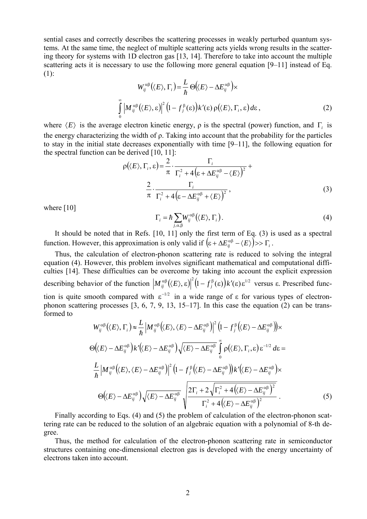sential cases and correctly describes the scattering processes in weakly perturbed quantum systems. At the same time, the neglect of multiple scattering acts yields wrong results in the scattering theory for systems with 1D electron gas [13, 14]. Therefore to take into account the multiple scattering acts it is necessary to use the following more general equation [9–11] instead of Eq.  $(1)$ :

$$
W_{ij}^{\alpha\beta}(\langle E\rangle, \Gamma_i) = \frac{L}{\hbar} \Theta(\langle E\rangle - \Delta E_{ij}^{\alpha\beta}) \times
$$
  

$$
\int_{0}^{\infty} \left| M_{ij}^{\alpha\beta}(\langle E\rangle, \varepsilon) \right|^2 (1 - f_j^{\beta}(\varepsilon)) k'(\varepsilon) \rho(\langle E\rangle, \Gamma_i, \varepsilon) d\varepsilon,
$$
 (2)

where  $\langle E \rangle$  is the average electron kinetic energy,  $\rho$  is the spectral (power) function, and Γ<sub>*i*</sub> is the energy characterizing the width of ρ. Taking into account that the probability for the particles to stay in the initial state decreases exponentially with time [9–11], the following equation for the spectral function can be derived [10, 11]:

$$
\rho(\langle E \rangle, \Gamma_i, \varepsilon) = \frac{2}{\pi} \cdot \frac{\Gamma_i}{\Gamma_i^2 + 4\left(\varepsilon + \Delta E_{ij}^{\alpha \beta} - \langle E \rangle\right)^2} + \frac{2}{\pi} \cdot \frac{\Gamma_i}{\Gamma_i^2 + 4\left(\varepsilon - \Delta E_{ij}^{\alpha \beta} + \langle E \rangle\right)^2},
$$
\n(3)

where [10]

$$
\Gamma_i = \hbar \sum_{j,\alpha,\beta} W_{ij}^{\alpha\beta} (\langle E \rangle, \Gamma_i). \tag{4}
$$

It should be noted that in Refs. [10, 11] only the first term of Eq. (3) is used as a spectral function. However, this approximation is only valid if  $(\varepsilon + \Delta E_{ij}^{\alpha\beta} - \langle E \rangle) >> \Gamma_i$ .

Thus, the calculation of electron-phonon scattering rate is reduced to solving the integral equation (4). However, this problem involves significant mathematical and computational difficulties [14]. These difficulties can be overcome by taking into account the explicit expression describing behavior of the function  $\left| M_{ij}^{\alpha\beta}(\langle E \rangle, \varepsilon) \right|^2 (1 - f_j^{\beta}(\varepsilon)) k'(\varepsilon) \varepsilon^{1/2}$  versus  $\varepsilon$ . Prescribed function is quite smooth compared with  $\varepsilon^{-1/2}$  in a wide range of  $\varepsilon$  for various types of electronphonon scattering processes [3, 6, 7, 9, 13, 15–17]. In this case the equation (2) can be transformed to

$$
W_{ij}^{\alpha\beta}(\langle E\rangle, \Gamma_{i}) \approx \frac{L}{\hbar} \left| M_{ij}^{\alpha\beta}(\langle E\rangle, \langle E\rangle - \Delta E_{ij}^{\alpha\beta}) \right|^{2} \left(1 - f_{j}^{\beta}(\langle E\rangle - \Delta E_{ij}^{\alpha\beta})\right) \times
$$
  
\n
$$
\Theta(\langle E\rangle - \Delta E_{ij}^{\alpha\beta}) k'(\langle E\rangle - \Delta E_{ij}^{\alpha\beta}) \sqrt{\langle E\rangle - \Delta E_{ij}^{\alpha\beta}} \int_{0}^{\infty} \rho(\langle E\rangle, \Gamma_{i}, \varepsilon) \varepsilon^{-1/2} d\varepsilon =
$$
  
\n
$$
\frac{L}{\hbar} \left| M_{ij}^{\alpha\beta}(\langle E\rangle, \langle E\rangle - \Delta E_{ij}^{\alpha\beta}) \right|^{2} \left(1 - f_{j}^{\beta}(\langle E\rangle - \Delta E_{ij}^{\alpha\beta})\right) k'(\langle E\rangle - \Delta E_{ij}^{\alpha\beta}) \times
$$
  
\n
$$
\Theta(\langle E\rangle - \Delta E_{ij}^{\alpha\beta}) \sqrt{\langle E\rangle - \Delta E_{ij}^{\alpha\beta}} \sqrt{\frac{2\Gamma_{i} + 2\sqrt{\Gamma_{i}^{2} + 4(\langle E\rangle - \Delta E_{ij}^{\alpha\beta})^{2}}}{\Gamma_{i}^{2} + 4(\langle E\rangle - \Delta E_{ij}^{\alpha\beta})^{2}}.
$$
\n(5)

Finally according to Eqs. (4) and (5) the problem of calculation of the electron-phonon scattering rate can be reduced to the solution of an algebraic equation with a polynomial of 8-th degree.

Thus, the method for calculation of the electron-phonon scattering rate in semiconductor structures containing one-dimensional electron gas is developed with the energy uncertainty of electrons taken into account.